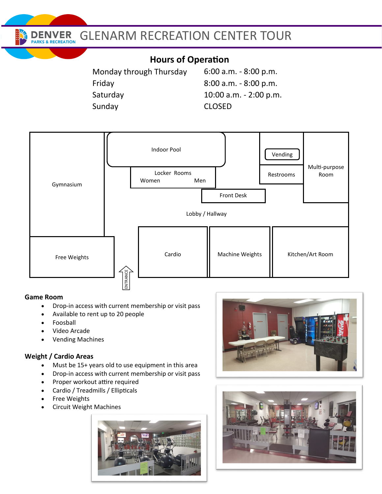**ENVER PARKS & RECREATION** 

## GLENARM RECREATION CENTER TOUR

## **Hours of Operation**

Monday through Thursday Friday Saturday Sunday

:00 a.m. - 8:00 p.m. :00 a.m. - 8:00 p.m. :00 a.m. - 2:00 p.m. CLOSED



#### **Game Room**

- Drop-in access with current membership or visit pass
- Available to rent up to 20 people
- Foosball
- Video Arcade
- Vending Machines

#### **Weight / Cardio Areas**

- Must be 15+ years old to use equipment in this area
- Drop-in access with current membership or visit pass
- Proper workout attire required
- Cardio / Treadmills / Ellipticals
- Free Weights
- Circuit Weight Machines